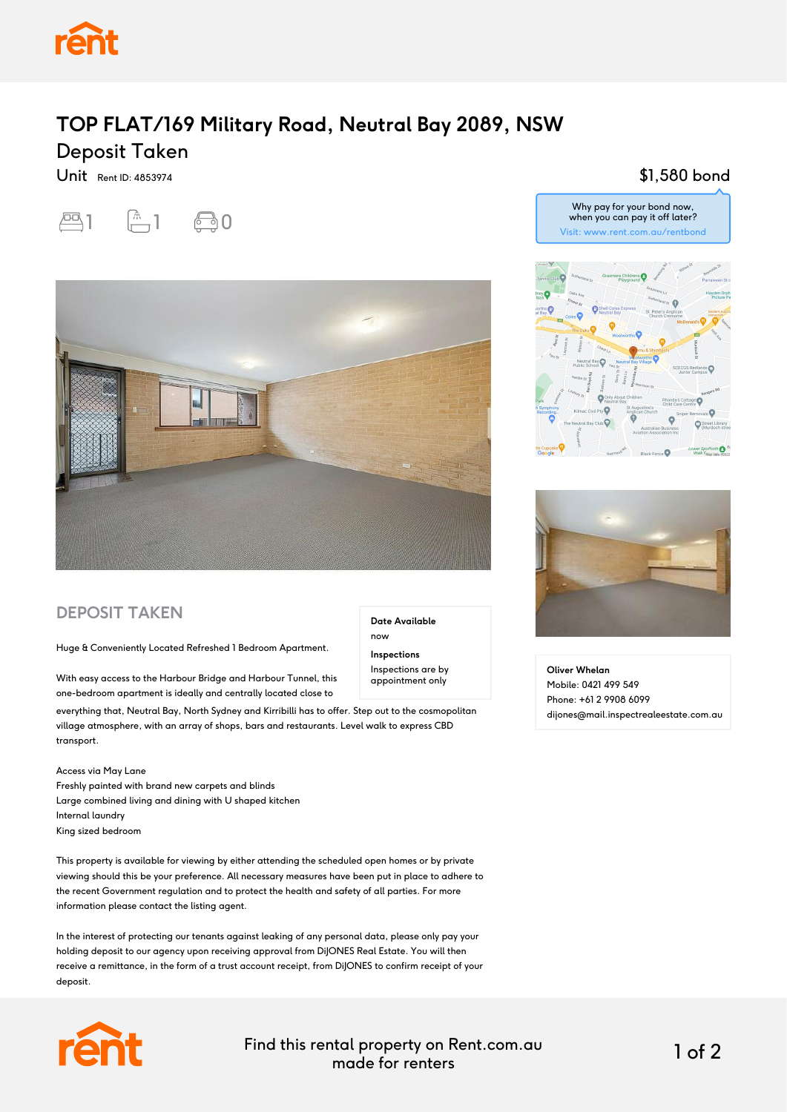

## **TOP FLAT/169 Military Road, Neutral Bay 2089, NSW** Deposit Taken

Unit Rent ID: 4853974



\$1,580 bond



### **DEPOSIT TAKEN**

Huge & Conveniently Located Refreshed 1 Bedroom Apartment.

With easy access to the Harbour Bridge and Harbour Tunnel, this one-bedroom apartment is ideally and centrally located close to

everything that, Neutral Bay, North Sydney and Kirribilli has to offer. Step out to the cosmopolitan village atmosphere, with an array of shops, bars and restaurants. Level walk to express CBD transport.

#### Access via May Lane

Freshly painted with brand new carpets and blinds Large combined living and dining with U shaped kitchen Internal laundry King sized bedroom

This property is available for viewing by either attending the scheduled open homes or by private viewing should this be your preference. All necessary measures have been put in place to adhere to the recent Government regulation and to protect the health and safety of all parties. For more information please contact the listing agent.

In the interest of protecting our tenants against leaking of any personal data, please only pay your holding deposit to our agency upon receiving approval from DiJONES Real Estate. You will then receive a remittance, in the form of a trust account receipt, from DiJONES to confirm receipt of your deposit.



Find this rental property on Rent.com.au made for renters 1 of 2

**Date Available**

now **Inspections** Inspections are by appointment only

# .ó Street Library Lower Spofforth<sup>0</sup>

Why pay for your bond now, when you can pay it off later? Visit: www.rent.com.au/rentbond



**Oliver Whelan** Mobile: 0421 499 549 Phone: +61 2 9908 6099 dijones@mail.inspectrealeestate.com.au